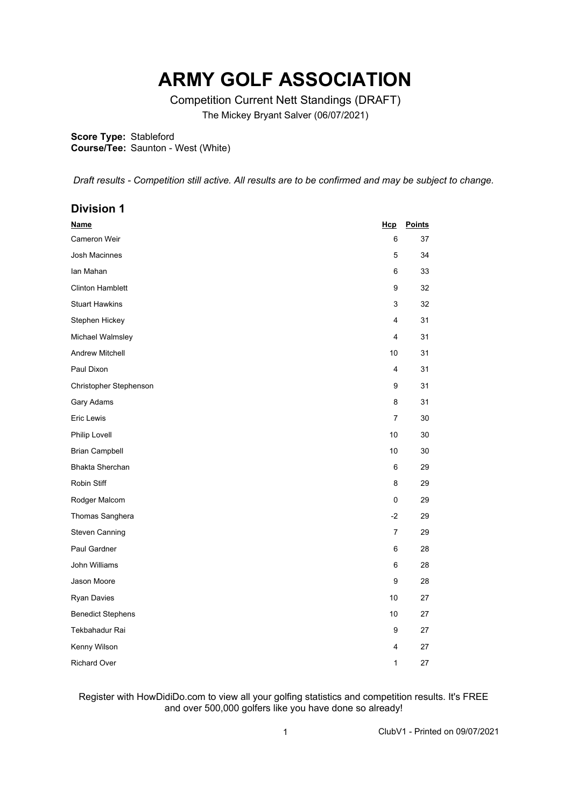## **ARMY GOLF ASSOCIATION**

Competition Current Nett Standings (DRAFT) The Mickey Bryant Salver (06/07/2021)

**Score Type:** Stableford

**Course/Tee:** Saunton - West (White)

*Draft results - Competition still active. All results are to be confirmed and may be subject to change.* 

| <b>Division 1</b>        |                |               |
|--------------------------|----------------|---------------|
| <b>Name</b>              | Hcp            | <b>Points</b> |
| Cameron Weir             | 6              | 37            |
| Josh Macinnes            | 5              | 34            |
| lan Mahan                | 6              | 33            |
| <b>Clinton Hamblett</b>  | 9              | 32            |
| <b>Stuart Hawkins</b>    | 3              | 32            |
| Stephen Hickey           | 4              | 31            |
| Michael Walmsley         | 4              | 31            |
| <b>Andrew Mitchell</b>   | 10             | 31            |
| Paul Dixon               | 4              | 31            |
| Christopher Stephenson   | 9              | 31            |
| Gary Adams               | 8              | 31            |
| Eric Lewis               | $\overline{7}$ | 30            |
| Philip Lovell            | 10             | 30            |
| <b>Brian Campbell</b>    | 10             | 30            |
| <b>Bhakta Sherchan</b>   | 6              | 29            |
| Robin Stiff              | 8              | 29            |
| Rodger Malcom            | 0              | 29            |
| Thomas Sanghera          | $-2$           | 29            |
| <b>Steven Canning</b>    | 7              | 29            |
| Paul Gardner             | 6              | 28            |
| John Williams            | 6              | 28            |
| Jason Moore              | 9              | 28            |
| <b>Ryan Davies</b>       | 10             | 27            |
| <b>Benedict Stephens</b> | 10             | 27            |
| Tekbahadur Rai           | 9              | 27            |
| Kenny Wilson             | 4              | 27            |
| Richard Over             | 1              | 27            |

## Register with HowDidiDo.com to view all your golfing statistics and competition results. It's FREE and over 500,000 golfers like you have done so already!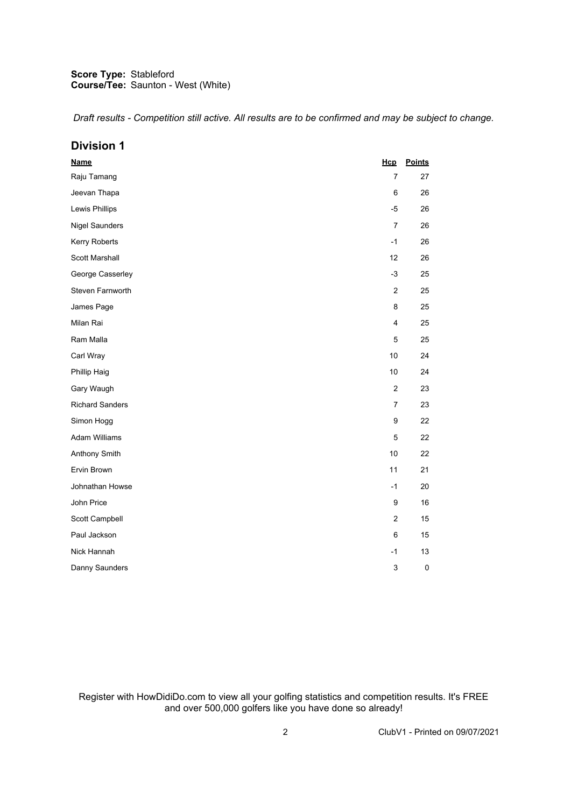## **Score Type: Course/Tee:** Stableford Saunton - West (White)

*Draft results - Competition still active. All results are to be confirmed and may be subject to change.* 

| <b>Division 1</b>      |                  |               |
|------------------------|------------------|---------------|
| <b>Name</b>            | Hcp              | <b>Points</b> |
| Raju Tamang            | $\overline{7}$   | 27            |
| Jeevan Thapa           | 6                | 26            |
| Lewis Phillips         | $-5$             | 26            |
| <b>Nigel Saunders</b>  | $\overline{7}$   | 26            |
| Kerry Roberts          | $-1$             | 26            |
| Scott Marshall         | 12               | 26            |
| George Casserley       | $-3$             | 25            |
| Steven Farnworth       | $\boldsymbol{2}$ | 25            |
| James Page             | 8                | 25            |
| Milan Rai              | 4                | 25            |
| Ram Malla              | 5                | 25            |
| Carl Wray              | 10               | 24            |
| Phillip Haig           | 10               | 24            |
| Gary Waugh             | $\boldsymbol{2}$ | 23            |
| <b>Richard Sanders</b> | $\overline{7}$   | 23            |
| Simon Hogg             | $\boldsymbol{9}$ | 22            |
| <b>Adam Williams</b>   | 5                | 22            |
| Anthony Smith          | 10               | 22            |
| Ervin Brown            | 11               | 21            |
| Johnathan Howse        | $-1$             | 20            |
| John Price             | $\boldsymbol{9}$ | 16            |
| Scott Campbell         | $\boldsymbol{2}$ | 15            |
| Paul Jackson           | 6                | 15            |
| Nick Hannah            | $-1$             | 13            |
| Danny Saunders         | 3                | 0             |

Register with HowDidiDo.com to view all your golfing statistics and competition results. It's FREE and over 500,000 golfers like you have done so already!